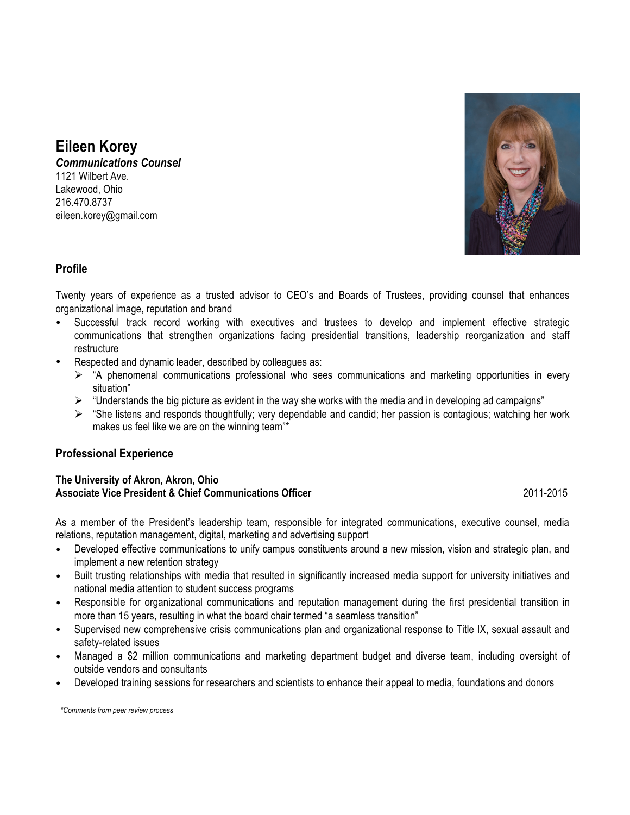# **Eileen Korey**

*Communications Counsel* 1121 Wilbert Ave. Lakewood, Ohio 216.470.8737 eileen.korey@gmail.com



# **Profile**

Twenty years of experience as a trusted advisor to CEO's and Boards of Trustees, providing counsel that enhances organizational image, reputation and brand

- Successful track record working with executives and trustees to develop and implement effective strategic communications that strengthen organizations facing presidential transitions, leadership reorganization and staff restructure
- Respected and dynamic leader, described by colleagues as:
	- $\triangleright$  "A phenomenal communications professional who sees communications and marketing opportunities in every situation"
	- $\triangleright$  "Understands the big picture as evident in the way she works with the media and in developing ad campaigns"
	- $\triangleright$  "She listens and responds thoughtfully; very dependable and candid; her passion is contagious; watching her work makes us feel like we are on the winning team"\*

# **Professional Experience**

#### **The University of Akron, Akron, Ohio Associate Vice President & Chief Communications Officer** 2011-2015

As a member of the President's leadership team, responsible for integrated communications, executive counsel, media relations, reputation management, digital, marketing and advertising support

- Developed effective communications to unify campus constituents around a new mission, vision and strategic plan, and implement a new retention strategy
- Built trusting relationships with media that resulted in significantly increased media support for university initiatives and national media attention to student success programs
- Responsible for organizational communications and reputation management during the first presidential transition in more than 15 years, resulting in what the board chair termed "a seamless transition"
- Supervised new comprehensive crisis communications plan and organizational response to Title IX, sexual assault and safety-related issues
- Managed a \$2 million communications and marketing department budget and diverse team, including oversight of outside vendors and consultants
- Developed training sessions for researchers and scientists to enhance their appeal to media, foundations and donors

*\*Comments from peer review process*